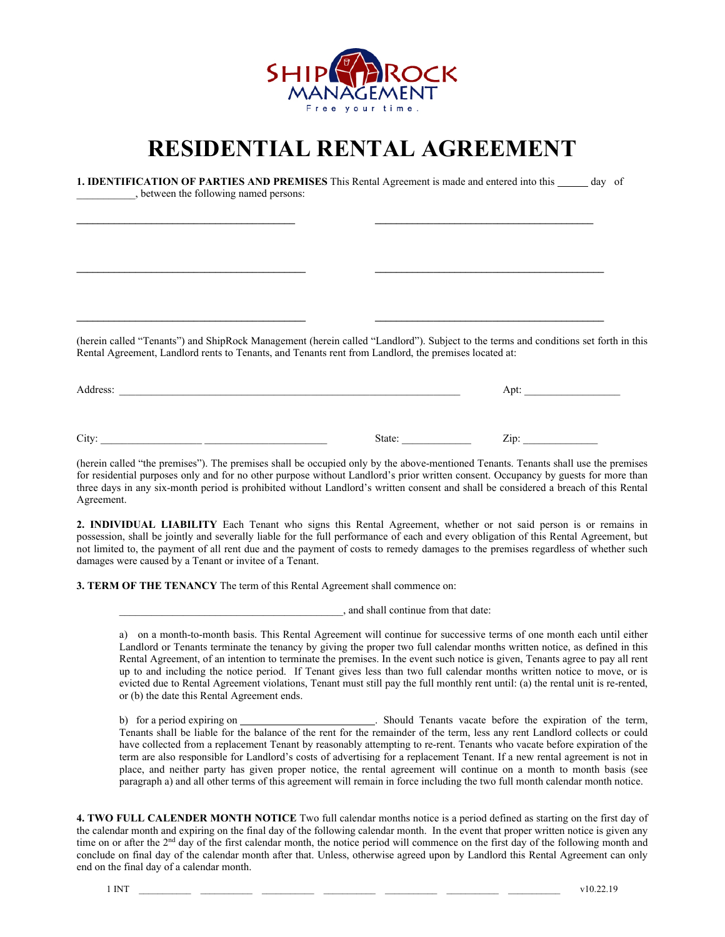

## **RESIDENTIAL RENTAL AGREEMENT**

| (herein called "Tenants") and ShipRock Management (herein called "Landlord"). Subject to the terms and conditions set forth in this<br>Rental Agreement, Landlord rents to Tenants, and Tenants rent from Landlord, the premises located at: |
|----------------------------------------------------------------------------------------------------------------------------------------------------------------------------------------------------------------------------------------------|
| Address:                                                                                                                                                                                                                                     |

City: \_\_\_\_\_\_\_\_\_\_\_\_\_\_\_\_\_\_\_ \_\_\_\_\_\_\_\_\_\_\_\_\_\_\_\_\_\_\_\_\_\_\_ State: \_\_\_\_\_\_\_\_\_\_\_\_\_ Zip: \_\_\_\_\_\_\_\_\_\_\_\_\_\_

(herein called "the premises"). The premises shall be occupied only by the above-mentioned Tenants. Tenants shall use the premises for residential purposes only and for no other purpose without Landlord's prior written consent. Occupancy by guests for more than three days in any six-month period is prohibited without Landlord's written consent and shall be considered a breach of this Rental Agreement.

**2. INDIVIDUAL LIABILITY** Each Tenant who signs this Rental Agreement, whether or not said person is or remains in possession, shall be jointly and severally liable for the full performance of each and every obligation of this Rental Agreement, but not limited to, the payment of all rent due and the payment of costs to remedy damages to the premises regardless of whether such damages were caused by a Tenant or invitee of a Tenant.

**3. TERM OF THE TENANCY** The term of this Rental Agreement shall commence on:

\_\_\_\_\_\_\_\_\_\_\_\_\_\_\_\_\_\_\_\_\_\_\_\_\_\_\_\_\_\_\_\_\_\_\_\_\_\_\_\_\_\_, and shall continue from that date:

a) on a month-to-month basis. This Rental Agreement will continue for successive terms of one month each until either Landlord or Tenants terminate the tenancy by giving the proper two full calendar months written notice, as defined in this Rental Agreement, of an intention to terminate the premises. In the event such notice is given, Tenants agree to pay all rent up to and including the notice period. If Tenant gives less than two full calendar months written notice to move, or is evicted due to Rental Agreement violations, Tenant must still pay the full monthly rent until: (a) the rental unit is re-rented, or (b) the date this Rental Agreement ends.

b) for a period expiring on . Should Tenants vacate before the expiration of the term, Tenants shall be liable for the balance of the rent for the remainder of the term, less any rent Landlord collects or could have collected from a replacement Tenant by reasonably attempting to re-rent. Tenants who vacate before expiration of the term are also responsible for Landlord's costs of advertising for a replacement Tenant. If a new rental agreement is not in place, and neither party has given proper notice, the rental agreement will continue on a month to month basis (see paragraph a) and all other terms of this agreement will remain in force including the two full month calendar month notice.

**4. TWO FULL CALENDER MONTH NOTICE** Two full calendar months notice is a period defined as starting on the first day of the calendar month and expiring on the final day of the following calendar month. In the event that proper written notice is given any time on or after the 2<sup>nd</sup> day of the first calendar month, the notice period will commence on the first day of the following month and conclude on final day of the calendar month after that. Unless, otherwise agreed upon by Landlord this Rental Agreement can only end on the final day of a calendar month.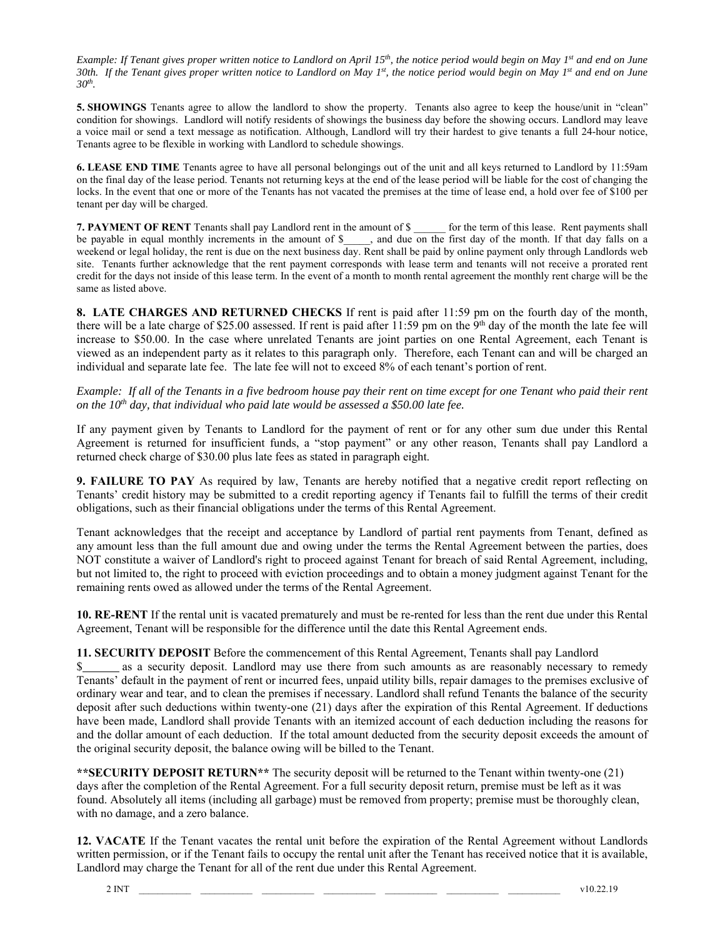*Example: If Tenant gives proper written notice to Landlord on April 15<sup>th</sup>, the notice period would begin on May 1<sup>st</sup> and end on June* 30th. If the Tenant gives proper written notice to Landlord on May 1<sup>st</sup>, the notice period would begin on May 1<sup>st</sup> and end on June *30th.* 

**5. SHOWINGS** Tenants agree to allow the landlord to show the property. Tenants also agree to keep the house/unit in "clean" condition for showings. Landlord will notify residents of showings the business day before the showing occurs. Landlord may leave a voice mail or send a text message as notification. Although, Landlord will try their hardest to give tenants a full 24-hour notice, Tenants agree to be flexible in working with Landlord to schedule showings.

**6. LEASE END TIME** Tenants agree to have all personal belongings out of the unit and all keys returned to Landlord by 11:59am on the final day of the lease period. Tenants not returning keys at the end of the lease period will be liable for the cost of changing the locks. In the event that one or more of the Tenants has not vacated the premises at the time of lease end, a hold over fee of \$100 per tenant per day will be charged.

**7. PAYMENT OF RENT** Tenants shall pay Landlord rent in the amount of \$ for the term of this lease. Rent payments shall be payable in equal monthly increments in the amount of \$\_\_\_\_, and due on the first day of the month. If that day falls on a weekend or legal holiday, the rent is due on the next business day. Rent shall be paid by online payment only through Landlords web site. Tenants further acknowledge that the rent payment corresponds with lease term and tenants will not receive a prorated rent credit for the days not inside of this lease term. In the event of a month to month rental agreement the monthly rent charge will be the same as listed above.

**8. LATE CHARGES AND RETURNED CHECKS** If rent is paid after 11:59 pm on the fourth day of the month, there will be a late charge of \$25.00 assessed. If rent is paid after  $11:59$  pm on the  $9<sup>th</sup>$  day of the month the late fee will increase to \$50.00. In the case where unrelated Tenants are joint parties on one Rental Agreement, each Tenant is viewed as an independent party as it relates to this paragraph only. Therefore, each Tenant can and will be charged an individual and separate late fee. The late fee will not to exceed 8% of each tenant's portion of rent.

*Example: If all of the Tenants in a five bedroom house pay their rent on time except for one Tenant who paid their rent on the 10<sup>th</sup> day, that individual who paid late would be assessed a \$50.00 late fee.* 

If any payment given by Tenants to Landlord for the payment of rent or for any other sum due under this Rental Agreement is returned for insufficient funds, a "stop payment" or any other reason, Tenants shall pay Landlord a returned check charge of \$30.00 plus late fees as stated in paragraph eight.

**9. FAILURE TO PAY** As required by law, Tenants are hereby notified that a negative credit report reflecting on Tenants' credit history may be submitted to a credit reporting agency if Tenants fail to fulfill the terms of their credit obligations, such as their financial obligations under the terms of this Rental Agreement.

Tenant acknowledges that the receipt and acceptance by Landlord of partial rent payments from Tenant, defined as any amount less than the full amount due and owing under the terms the Rental Agreement between the parties, does NOT constitute a waiver of Landlord's right to proceed against Tenant for breach of said Rental Agreement, including, but not limited to, the right to proceed with eviction proceedings and to obtain a money judgment against Tenant for the remaining rents owed as allowed under the terms of the Rental Agreement.

**10. RE-RENT** If the rental unit is vacated prematurely and must be re-rented for less than the rent due under this Rental Agreement, Tenant will be responsible for the difference until the date this Rental Agreement ends.

## **11. SECURITY DEPOSIT** Before the commencement of this Rental Agreement, Tenants shall pay Landlord

as a security deposit. Landlord may use there from such amounts as are reasonably necessary to remedy Tenants' default in the payment of rent or incurred fees, unpaid utility bills, repair damages to the premises exclusive of ordinary wear and tear, and to clean the premises if necessary. Landlord shall refund Tenants the balance of the security deposit after such deductions within twenty-one (21) days after the expiration of this Rental Agreement. If deductions have been made, Landlord shall provide Tenants with an itemized account of each deduction including the reasons for and the dollar amount of each deduction. If the total amount deducted from the security deposit exceeds the amount of the original security deposit, the balance owing will be billed to the Tenant.

**\*\*SECURITY DEPOSIT RETURN\*\*** The security deposit will be returned to the Tenant within twenty-one (21) days after the completion of the Rental Agreement. For a full security deposit return, premise must be left as it was found. Absolutely all items (including all garbage) must be removed from property; premise must be thoroughly clean, with no damage, and a zero balance.

**12. VACATE** If the Tenant vacates the rental unit before the expiration of the Rental Agreement without Landlords written permission, or if the Tenant fails to occupy the rental unit after the Tenant has received notice that it is available, Landlord may charge the Tenant for all of the rent due under this Rental Agreement.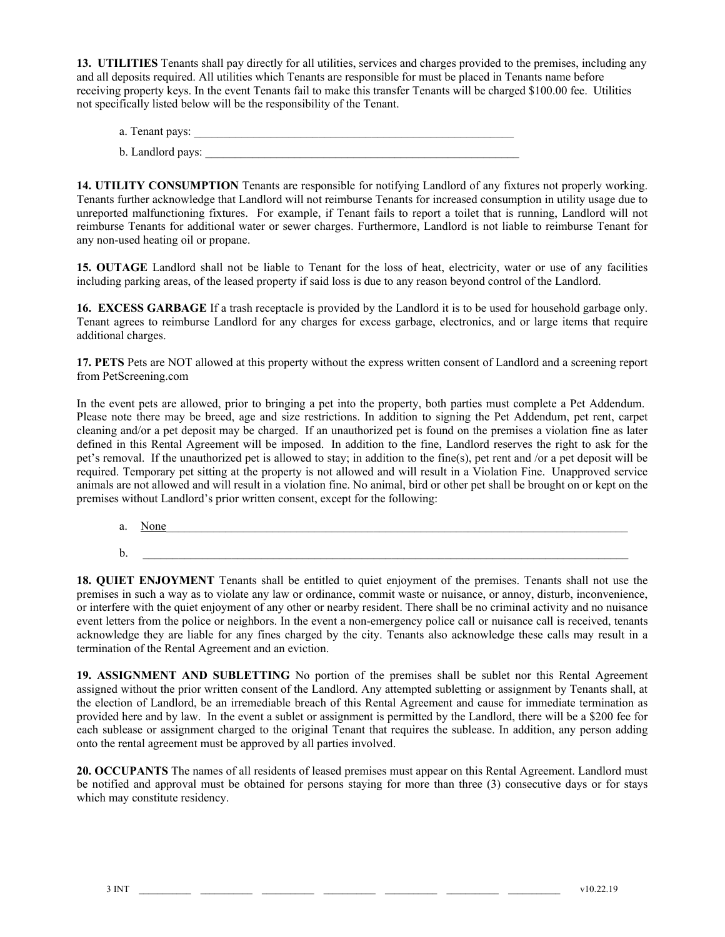**13. UTILITIES** Tenants shall pay directly for all utilities, services and charges provided to the premises, including any and all deposits required. All utilities which Tenants are responsible for must be placed in Tenants name before receiving property keys. In the event Tenants fail to make this transfer Tenants will be charged \$100.00 fee. Utilities not specifically listed below will be the responsibility of the Tenant.

| a. Tenant pays:   |  |  |
|-------------------|--|--|
| b. Landlord pays: |  |  |

**14. UTILITY CONSUMPTION** Tenants are responsible for notifying Landlord of any fixtures not properly working. Tenants further acknowledge that Landlord will not reimburse Tenants for increased consumption in utility usage due to unreported malfunctioning fixtures. For example, if Tenant fails to report a toilet that is running, Landlord will not reimburse Tenants for additional water or sewer charges. Furthermore, Landlord is not liable to reimburse Tenant for any non-used heating oil or propane.

**15. OUTAGE** Landlord shall not be liable to Tenant for the loss of heat, electricity, water or use of any facilities including parking areas, of the leased property if said loss is due to any reason beyond control of the Landlord.

**16. EXCESS GARBAGE** If a trash receptacle is provided by the Landlord it is to be used for household garbage only. Tenant agrees to reimburse Landlord for any charges for excess garbage, electronics, and or large items that require additional charges.

**17. PETS** Pets are NOT allowed at this property without the express written consent of Landlord and a screening report from PetScreening.com

In the event pets are allowed, prior to bringing a pet into the property, both parties must complete a Pet Addendum. Please note there may be breed, age and size restrictions. In addition to signing the Pet Addendum, pet rent, carpet cleaning and/or a pet deposit may be charged. If an unauthorized pet is found on the premises a violation fine as later defined in this Rental Agreement will be imposed. In addition to the fine, Landlord reserves the right to ask for the pet's removal. If the unauthorized pet is allowed to stay; in addition to the fine(s), pet rent and /or a pet deposit will be required. Temporary pet sitting at the property is not allowed and will result in a Violation Fine. Unapproved service animals are not allowed and will result in a violation fine. No animal, bird or other pet shall be brought on or kept on the premises without Landlord's prior written consent, except for the following:

a. <u>None</u>  $\mathbf{b}$ .

**18. QUIET ENJOYMENT** Tenants shall be entitled to quiet enjoyment of the premises. Tenants shall not use the premises in such a way as to violate any law or ordinance, commit waste or nuisance, or annoy, disturb, inconvenience, or interfere with the quiet enjoyment of any other or nearby resident. There shall be no criminal activity and no nuisance event letters from the police or neighbors. In the event a non-emergency police call or nuisance call is received, tenants acknowledge they are liable for any fines charged by the city. Tenants also acknowledge these calls may result in a termination of the Rental Agreement and an eviction.

**19. ASSIGNMENT AND SUBLETTING** No portion of the premises shall be sublet nor this Rental Agreement assigned without the prior written consent of the Landlord. Any attempted subletting or assignment by Tenants shall, at the election of Landlord, be an irremediable breach of this Rental Agreement and cause for immediate termination as provided here and by law. In the event a sublet or assignment is permitted by the Landlord, there will be a \$200 fee for each sublease or assignment charged to the original Tenant that requires the sublease. In addition, any person adding onto the rental agreement must be approved by all parties involved.

**20. OCCUPANTS** The names of all residents of leased premises must appear on this Rental Agreement. Landlord must be notified and approval must be obtained for persons staying for more than three (3) consecutive days or for stays which may constitute residency.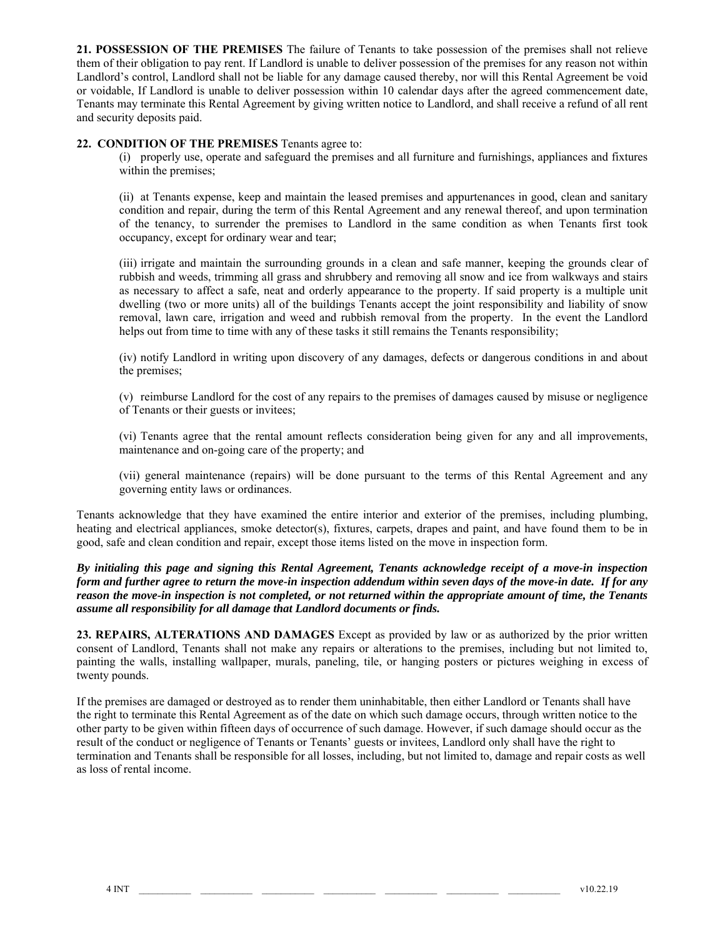**21. POSSESSION OF THE PREMISES** The failure of Tenants to take possession of the premises shall not relieve them of their obligation to pay rent. If Landlord is unable to deliver possession of the premises for any reason not within Landlord's control, Landlord shall not be liable for any damage caused thereby, nor will this Rental Agreement be void or voidable, If Landlord is unable to deliver possession within 10 calendar days after the agreed commencement date, Tenants may terminate this Rental Agreement by giving written notice to Landlord, and shall receive a refund of all rent and security deposits paid.

## **22. CONDITION OF THE PREMISES** Tenants agree to:

(i) properly use, operate and safeguard the premises and all furniture and furnishings, appliances and fixtures within the premises;

(ii) at Tenants expense, keep and maintain the leased premises and appurtenances in good, clean and sanitary condition and repair, during the term of this Rental Agreement and any renewal thereof, and upon termination of the tenancy, to surrender the premises to Landlord in the same condition as when Tenants first took occupancy, except for ordinary wear and tear;

(iii) irrigate and maintain the surrounding grounds in a clean and safe manner, keeping the grounds clear of rubbish and weeds, trimming all grass and shrubbery and removing all snow and ice from walkways and stairs as necessary to affect a safe, neat and orderly appearance to the property. If said property is a multiple unit dwelling (two or more units) all of the buildings Tenants accept the joint responsibility and liability of snow removal, lawn care, irrigation and weed and rubbish removal from the property. In the event the Landlord helps out from time to time with any of these tasks it still remains the Tenants responsibility;

(iv) notify Landlord in writing upon discovery of any damages, defects or dangerous conditions in and about the premises;

(v) reimburse Landlord for the cost of any repairs to the premises of damages caused by misuse or negligence of Tenants or their guests or invitees;

(vi) Tenants agree that the rental amount reflects consideration being given for any and all improvements, maintenance and on-going care of the property; and

(vii) general maintenance (repairs) will be done pursuant to the terms of this Rental Agreement and any governing entity laws or ordinances.

Tenants acknowledge that they have examined the entire interior and exterior of the premises, including plumbing, heating and electrical appliances, smoke detector(s), fixtures, carpets, drapes and paint, and have found them to be in good, safe and clean condition and repair, except those items listed on the move in inspection form.

*By initialing this page and signing this Rental Agreement, Tenants acknowledge receipt of a move-in inspection form and further agree to return the move-in inspection addendum within seven days of the move-in date. If for any reason the move-in inspection is not completed, or not returned within the appropriate amount of time, the Tenants assume all responsibility for all damage that Landlord documents or finds.* 

**23. REPAIRS, ALTERATIONS AND DAMAGES** Except as provided by law or as authorized by the prior written consent of Landlord, Tenants shall not make any repairs or alterations to the premises, including but not limited to, painting the walls, installing wallpaper, murals, paneling, tile, or hanging posters or pictures weighing in excess of twenty pounds.

If the premises are damaged or destroyed as to render them uninhabitable, then either Landlord or Tenants shall have the right to terminate this Rental Agreement as of the date on which such damage occurs, through written notice to the other party to be given within fifteen days of occurrence of such damage. However, if such damage should occur as the result of the conduct or negligence of Tenants or Tenants' guests or invitees, Landlord only shall have the right to termination and Tenants shall be responsible for all losses, including, but not limited to, damage and repair costs as well as loss of rental income.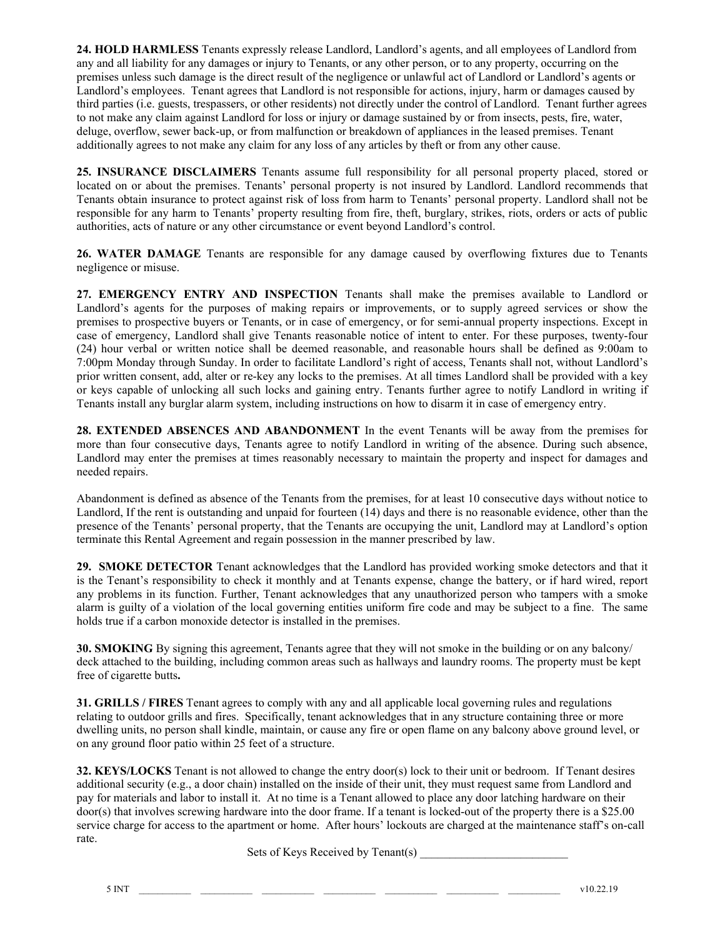**24. HOLD HARMLESS** Tenants expressly release Landlord, Landlord's agents, and all employees of Landlord from any and all liability for any damages or injury to Tenants, or any other person, or to any property, occurring on the premises unless such damage is the direct result of the negligence or unlawful act of Landlord or Landlord's agents or Landlord's employees. Tenant agrees that Landlord is not responsible for actions, injury, harm or damages caused by third parties (i.e. guests, trespassers, or other residents) not directly under the control of Landlord. Tenant further agrees to not make any claim against Landlord for loss or injury or damage sustained by or from insects, pests, fire, water, deluge, overflow, sewer back-up, or from malfunction or breakdown of appliances in the leased premises. Tenant additionally agrees to not make any claim for any loss of any articles by theft or from any other cause.

**25. INSURANCE DISCLAIMERS** Tenants assume full responsibility for all personal property placed, stored or located on or about the premises. Tenants' personal property is not insured by Landlord. Landlord recommends that Tenants obtain insurance to protect against risk of loss from harm to Tenants' personal property. Landlord shall not be responsible for any harm to Tenants' property resulting from fire, theft, burglary, strikes, riots, orders or acts of public authorities, acts of nature or any other circumstance or event beyond Landlord's control.

**26. WATER DAMAGE** Tenants are responsible for any damage caused by overflowing fixtures due to Tenants negligence or misuse.

**27. EMERGENCY ENTRY AND INSPECTION** Tenants shall make the premises available to Landlord or Landlord's agents for the purposes of making repairs or improvements, or to supply agreed services or show the premises to prospective buyers or Tenants, or in case of emergency, or for semi-annual property inspections. Except in case of emergency, Landlord shall give Tenants reasonable notice of intent to enter. For these purposes, twenty-four (24) hour verbal or written notice shall be deemed reasonable, and reasonable hours shall be defined as 9:00am to 7:00pm Monday through Sunday. In order to facilitate Landlord's right of access, Tenants shall not, without Landlord's prior written consent, add, alter or re-key any locks to the premises. At all times Landlord shall be provided with a key or keys capable of unlocking all such locks and gaining entry. Tenants further agree to notify Landlord in writing if Tenants install any burglar alarm system, including instructions on how to disarm it in case of emergency entry.

**28. EXTENDED ABSENCES AND ABANDONMENT** In the event Tenants will be away from the premises for more than four consecutive days, Tenants agree to notify Landlord in writing of the absence. During such absence, Landlord may enter the premises at times reasonably necessary to maintain the property and inspect for damages and needed repairs.

Abandonment is defined as absence of the Tenants from the premises, for at least 10 consecutive days without notice to Landlord, If the rent is outstanding and unpaid for fourteen (14) days and there is no reasonable evidence, other than the presence of the Tenants' personal property, that the Tenants are occupying the unit, Landlord may at Landlord's option terminate this Rental Agreement and regain possession in the manner prescribed by law.

**29. SMOKE DETECTOR** Tenant acknowledges that the Landlord has provided working smoke detectors and that it is the Tenant's responsibility to check it monthly and at Tenants expense, change the battery, or if hard wired, report any problems in its function. Further, Tenant acknowledges that any unauthorized person who tampers with a smoke alarm is guilty of a violation of the local governing entities uniform fire code and may be subject to a fine. The same holds true if a carbon monoxide detector is installed in the premises.

**30. SMOKING** By signing this agreement, Tenants agree that they will not smoke in the building or on any balcony/ deck attached to the building, including common areas such as hallways and laundry rooms. The property must be kept free of cigarette butts**.** 

**31. GRILLS / FIRES** Tenant agrees to comply with any and all applicable local governing rules and regulations relating to outdoor grills and fires. Specifically, tenant acknowledges that in any structure containing three or more dwelling units, no person shall kindle, maintain, or cause any fire or open flame on any balcony above ground level, or on any ground floor patio within 25 feet of a structure.

**32. KEYS/LOCKS** Tenant is not allowed to change the entry door(s) lock to their unit or bedroom. If Tenant desires additional security (e.g., a door chain) installed on the inside of their unit, they must request same from Landlord and pay for materials and labor to install it. At no time is a Tenant allowed to place any door latching hardware on their door(s) that involves screwing hardware into the door frame. If a tenant is locked-out of the property there is a \$25.00 service charge for access to the apartment or home. After hours' lockouts are charged at the maintenance staff's on-call rate.

Sets of Keys Received by Tenant $(s)$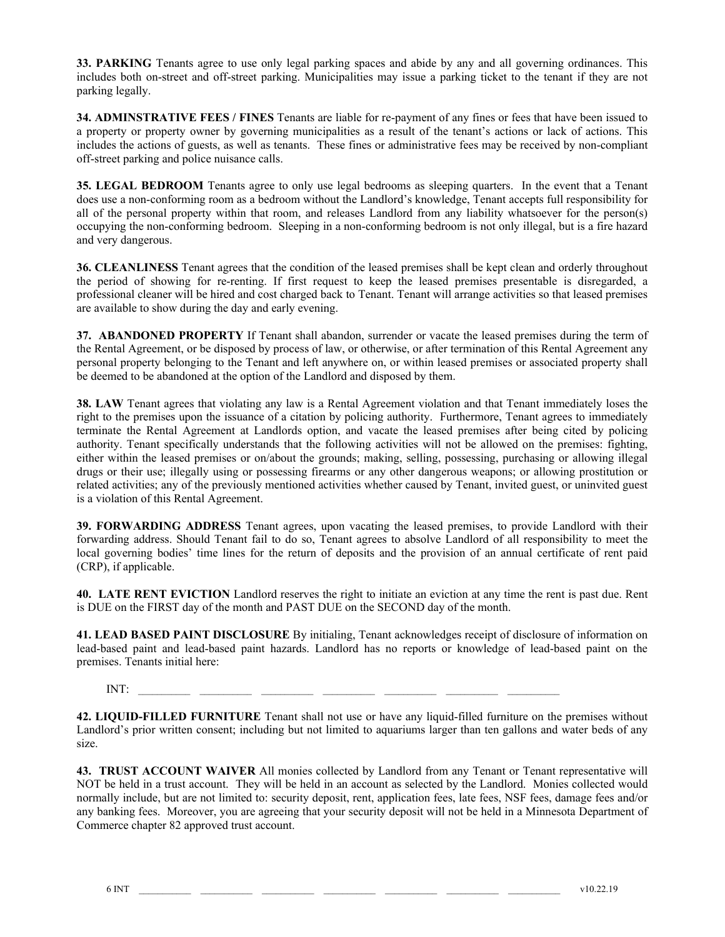**33. PARKING** Tenants agree to use only legal parking spaces and abide by any and all governing ordinances. This includes both on-street and off-street parking. Municipalities may issue a parking ticket to the tenant if they are not parking legally.

**34. ADMINSTRATIVE FEES / FINES** Tenants are liable for re-payment of any fines or fees that have been issued to a property or property owner by governing municipalities as a result of the tenant's actions or lack of actions. This includes the actions of guests, as well as tenants. These fines or administrative fees may be received by non-compliant off-street parking and police nuisance calls.

**35. LEGAL BEDROOM** Tenants agree to only use legal bedrooms as sleeping quarters. In the event that a Tenant does use a non-conforming room as a bedroom without the Landlord's knowledge, Tenant accepts full responsibility for all of the personal property within that room, and releases Landlord from any liability whatsoever for the person(s) occupying the non-conforming bedroom. Sleeping in a non-conforming bedroom is not only illegal, but is a fire hazard and very dangerous.

**36. CLEANLINESS** Tenant agrees that the condition of the leased premises shall be kept clean and orderly throughout the period of showing for re-renting. If first request to keep the leased premises presentable is disregarded, a professional cleaner will be hired and cost charged back to Tenant. Tenant will arrange activities so that leased premises are available to show during the day and early evening.

**37. ABANDONED PROPERTY** If Tenant shall abandon, surrender or vacate the leased premises during the term of the Rental Agreement, or be disposed by process of law, or otherwise, or after termination of this Rental Agreement any personal property belonging to the Tenant and left anywhere on, or within leased premises or associated property shall be deemed to be abandoned at the option of the Landlord and disposed by them.

**38. LAW** Tenant agrees that violating any law is a Rental Agreement violation and that Tenant immediately loses the right to the premises upon the issuance of a citation by policing authority. Furthermore, Tenant agrees to immediately terminate the Rental Agreement at Landlords option, and vacate the leased premises after being cited by policing authority. Tenant specifically understands that the following activities will not be allowed on the premises: fighting, either within the leased premises or on/about the grounds; making, selling, possessing, purchasing or allowing illegal drugs or their use; illegally using or possessing firearms or any other dangerous weapons; or allowing prostitution or related activities; any of the previously mentioned activities whether caused by Tenant, invited guest, or uninvited guest is a violation of this Rental Agreement.

**39. FORWARDING ADDRESS** Tenant agrees, upon vacating the leased premises, to provide Landlord with their forwarding address. Should Tenant fail to do so, Tenant agrees to absolve Landlord of all responsibility to meet the local governing bodies' time lines for the return of deposits and the provision of an annual certificate of rent paid (CRP), if applicable.

**40. LATE RENT EVICTION** Landlord reserves the right to initiate an eviction at any time the rent is past due. Rent is DUE on the FIRST day of the month and PAST DUE on the SECOND day of the month.

**41. LEAD BASED PAINT DISCLOSURE** By initialing, Tenant acknowledges receipt of disclosure of information on lead-based paint and lead-based paint hazards. Landlord has no reports or knowledge of lead-based paint on the premises. Tenants initial here:

INT: \_\_\_\_\_\_\_\_\_\_\_ \_\_\_\_\_\_\_\_\_\_\_ \_\_\_\_\_\_\_\_\_\_\_ \_\_\_\_\_\_\_\_\_\_\_ \_\_\_\_\_\_\_\_\_\_\_ \_\_\_\_\_\_\_\_\_\_\_ \_\_\_\_\_\_\_\_\_\_\_

**42. LIQUID-FILLED FURNITURE** Tenant shall not use or have any liquid-filled furniture on the premises without Landlord's prior written consent; including but not limited to aquariums larger than ten gallons and water beds of any size.

**43. TRUST ACCOUNT WAIVER** All monies collected by Landlord from any Tenant or Tenant representative will NOT be held in a trust account. They will be held in an account as selected by the Landlord. Monies collected would normally include, but are not limited to: security deposit, rent, application fees, late fees, NSF fees, damage fees and/or any banking fees. Moreover, you are agreeing that your security deposit will not be held in a Minnesota Department of Commerce chapter 82 approved trust account.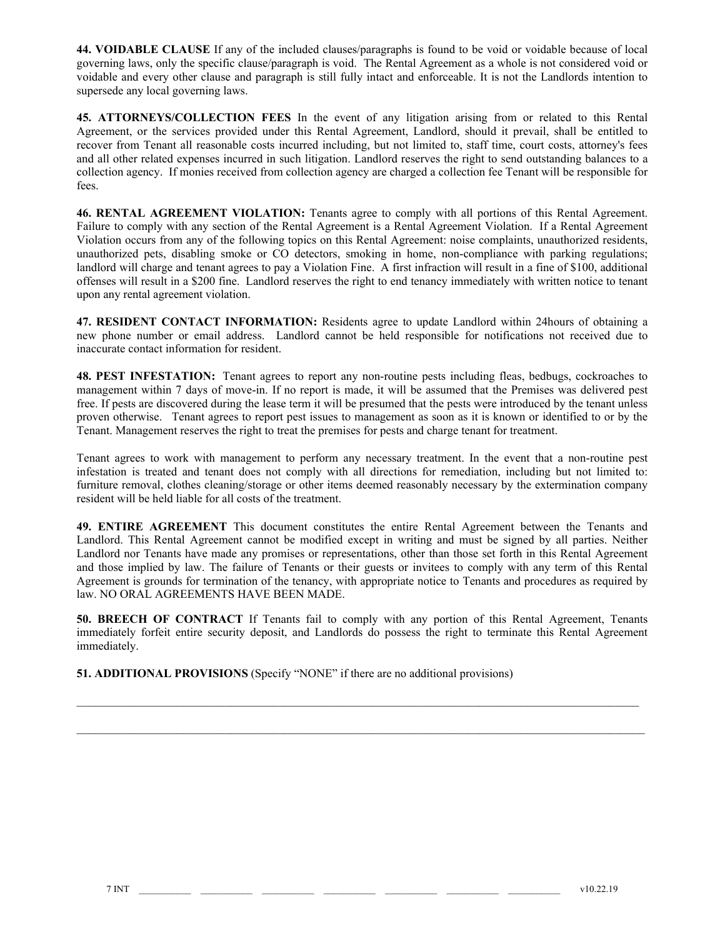**44. VOIDABLE CLAUSE** If any of the included clauses/paragraphs is found to be void or voidable because of local governing laws, only the specific clause/paragraph is void. The Rental Agreement as a whole is not considered void or voidable and every other clause and paragraph is still fully intact and enforceable. It is not the Landlords intention to supersede any local governing laws.

**45. ATTORNEYS/COLLECTION FEES** In the event of any litigation arising from or related to this Rental Agreement, or the services provided under this Rental Agreement, Landlord, should it prevail, shall be entitled to recover from Tenant all reasonable costs incurred including, but not limited to, staff time, court costs, attorney's fees and all other related expenses incurred in such litigation. Landlord reserves the right to send outstanding balances to a collection agency. If monies received from collection agency are charged a collection fee Tenant will be responsible for fees.

**46. RENTAL AGREEMENT VIOLATION:** Tenants agree to comply with all portions of this Rental Agreement. Failure to comply with any section of the Rental Agreement is a Rental Agreement Violation. If a Rental Agreement Violation occurs from any of the following topics on this Rental Agreement: noise complaints, unauthorized residents, unauthorized pets, disabling smoke or CO detectors, smoking in home, non-compliance with parking regulations; landlord will charge and tenant agrees to pay a Violation Fine. A first infraction will result in a fine of \$100, additional offenses will result in a \$200 fine. Landlord reserves the right to end tenancy immediately with written notice to tenant upon any rental agreement violation.

**47. RESIDENT CONTACT INFORMATION:** Residents agree to update Landlord within 24hours of obtaining a new phone number or email address. Landlord cannot be held responsible for notifications not received due to inaccurate contact information for resident.

**48. PEST INFESTATION:** Tenant agrees to report any non-routine pests including fleas, bedbugs, cockroaches to management within 7 days of move-in. If no report is made, it will be assumed that the Premises was delivered pest free. If pests are discovered during the lease term it will be presumed that the pests were introduced by the tenant unless proven otherwise. Tenant agrees to report pest issues to management as soon as it is known or identified to or by the Tenant. Management reserves the right to treat the premises for pests and charge tenant for treatment.

Tenant agrees to work with management to perform any necessary treatment. In the event that a non-routine pest infestation is treated and tenant does not comply with all directions for remediation, including but not limited to: furniture removal, clothes cleaning/storage or other items deemed reasonably necessary by the extermination company resident will be held liable for all costs of the treatment.

**49. ENTIRE AGREEMENT** This document constitutes the entire Rental Agreement between the Tenants and Landlord. This Rental Agreement cannot be modified except in writing and must be signed by all parties. Neither Landlord nor Tenants have made any promises or representations, other than those set forth in this Rental Agreement and those implied by law. The failure of Tenants or their guests or invitees to comply with any term of this Rental Agreement is grounds for termination of the tenancy, with appropriate notice to Tenants and procedures as required by law. NO ORAL AGREEMENTS HAVE BEEN MADE.

**50. BREECH OF CONTRACT** If Tenants fail to comply with any portion of this Rental Agreement, Tenants immediately forfeit entire security deposit, and Landlords do possess the right to terminate this Rental Agreement immediately.

 $\mathcal{L}_\mathcal{L} = \{ \mathcal{L}_\mathcal{L} = \{ \mathcal{L}_\mathcal{L} = \{ \mathcal{L}_\mathcal{L} = \{ \mathcal{L}_\mathcal{L} = \{ \mathcal{L}_\mathcal{L} = \{ \mathcal{L}_\mathcal{L} = \{ \mathcal{L}_\mathcal{L} = \{ \mathcal{L}_\mathcal{L} = \{ \mathcal{L}_\mathcal{L} = \{ \mathcal{L}_\mathcal{L} = \{ \mathcal{L}_\mathcal{L} = \{ \mathcal{L}_\mathcal{L} = \{ \mathcal{L}_\mathcal{L} = \{ \mathcal{L}_\mathcal{$ 

**51. ADDITIONAL PROVISIONS** (Specify "NONE" if there are no additional provisions)